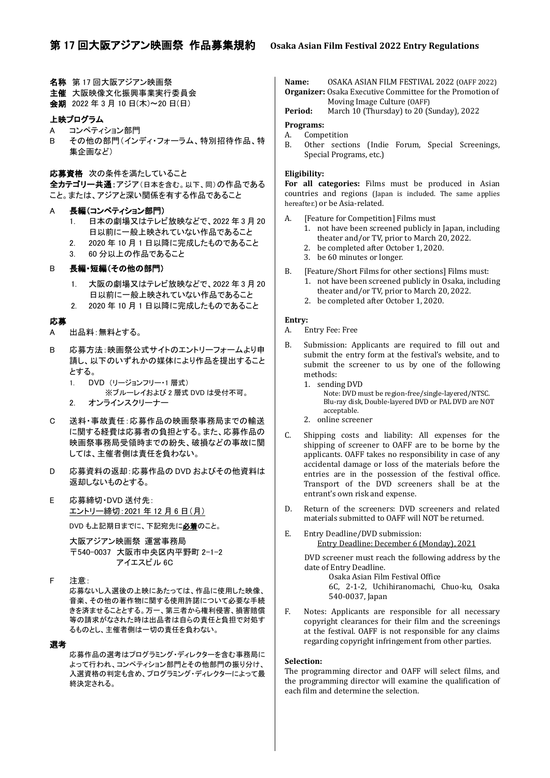- 名称 第 17 回大阪アジアン映画祭
- 主催 大阪映像文化振興事業実行委員会
- 会期 2022 年 3 月 10 日(木)~20 日(日)

## 上映プログラム

- A コンペティション部門
- B その他の部門(インディ・フォーラム、特別招待作品、特 集企画など)
- 応募資格 次の条件を満たしていること

全カテゴリー共通:アジア(日本を含む。以下、同)の作品である こと。または、アジアと深い関係を有する作品であること

- A 長編(コンペティション部門)
	- 1. 日本の劇場又はテレビ放映などで、2022 年 3 月 20 日以前に一般上映されていない作品であること
	- 2. 2020 年 10 月 1 日以降に完成したものであること
	- 3. 60 分以上の作品であること

# B 長編・短編(その他の部門)

- 1. 大阪の劇場又はテレビ放映などで、2022 年 3 月 20 日以前に一般上映されていない作品であること
- 2. 2020 年 10 月 1 日以降に完成したものであること

## 応募

- A 出品料:無料とする。
- B 応募方法:映画祭公式サイトのエントリーフォームより申 請し、以下のいずれかの媒体により作品を提出すること とする。
	- 1. DVD (リージョンフリー・1 層式) ※ブルーレイおよび 2 層式 DVD は受付不可。
	- 2. オンラインスクリーナー
- C 送料・事故責任:応募作品の映画祭事務局までの輸送 に関する経費は応募者の負担とする。また、応募作品の 映画祭事務局受領時までの紛失、破損などの事故に関 しては、主催者側は責任を負わない。
- D 応募資料の返却:応募作品の DVD およびその他資料は 返却しないものとする。
- E 応募締切・DVD 送付先: エントリー締切:2021 年 12 月 6 日(月) DVD も上記期日までに、下記宛先に必着のこと。

大阪アジアン映画祭 運営事務局 〒540-0037 大阪市中央区内平野町 2-1-2 アイエスビル 6C

F 注意:

応募ないし入選後の上映にあたっては、作品に使用した映像、 音楽、その他の著作物に関する使用許諾について必要な手続 きを済ませることとする。万一、第三者から権利侵害、損害賠償 等の請求がなされた時は出品者は自らの責任と負担で対処す るものとし、主催者側は一切の責任を負わない。

## 選考

応募作品の選考はプログラミング・ディレクターを含む事務局に よって行われ、コンペティション部門とその他部門の振り分け、 入選資格の判定も含め、プログラミング・ディレクターによって最 終決定される。

**Name:** OSAKA ASIAN FILM FESTIVAL 2022 (OAFF 2022) **Organizer:** Osaka Executive Committee for the Promotion of Moving Image Culture (OAFF)

**Period:** March 10 (Thursday) to 20 (Sunday), 2022

## **Programs:**

- A. Competition
- B. Other sections (Indie Forum, Special Screenings, Special Programs, etc.)

# **Eligibility:**

**For all categories:** Films must be produced in Asian countries and regions (Japan is included. The same applies hereafter.) or be Asia-related.

- A. [Feature for Competition] Films must
	- 1. not have been screened publicly in Japan, including theater and/or TV, prior to March 20, 2022.
	- 2. be completed after October 1, 2020.
	- 3. be 60 minutes or longer.
- B. [Feature/Short Films for other sections] Films must:
	- 1. not have been screened publicly in Osaka, including theater and/or TV, prior to March 20, 2022.
	- 2. be completed after October 1, 2020.

#### **Entry:**

- A. Entry Fee: Free
- B. Submission: Applicants are required to fill out and submit the entry form at the festival's website, and to submit the screener to us by one of the following methods:
	- 1. sending DVD
		- Note: DVD must be region-free/single-layered/NTSC. Blu-ray disk, Double-layered DVD or PAL DVD are NOT acceptable.
	- 2. online screener
- C. Shipping costs and liability: All expenses for the shipping of screener to OAFF are to be borne by the applicants. OAFF takes no responsibility in case of any accidental damage or loss of the materials before the entries are in the possession of the festival office. Transport of the DVD screeners shall be at the entrant's own risk and expense.
- D. Return of the screeners: DVD screeners and related materials submitted to OAFF will NOT be returned.
- E. Entry Deadline/DVD submission: Entry Deadline: December 6 (Monday), 2021

DVD screener must reach the following address by the date of Entry Deadline.

> Osaka Asian Film Festival Office 6C, 2-1-2, Uchihiranomachi, Chuo-ku, Osaka 540-0037, Japan

F. Notes: Applicants are responsible for all necessary copyright clearances for their film and the screenings at the festival. OAFF is not responsible for any claims regarding copyright infringement from other parties.

## **Selection:**

The programming director and OAFF will select films, and the programming director will examine the qualification of each film and determine the selection.